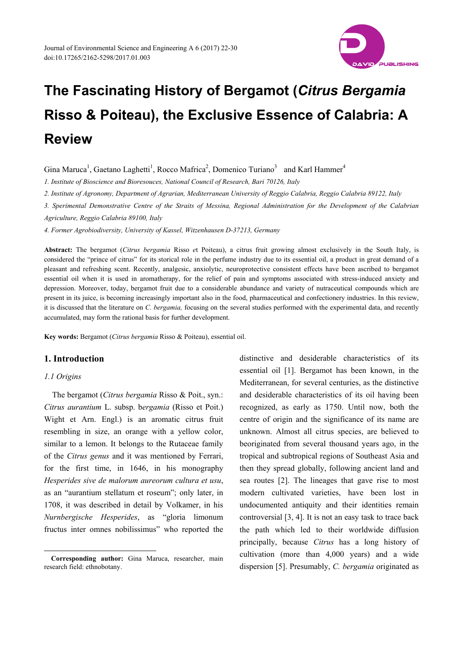

Gina Maruca<sup>1</sup>, Gaetano Laghetti<sup>1</sup>, Rocco Mafrica<sup>2</sup>, Domenico Turiano<sup>3</sup> and Karl Hammer<sup>4</sup>

*1. Institute of Bioscience and Bioresouces, National Council of Research, Bari 70126, Italy* 

*2. Institute of Agronomy, Department of Agrarian, Mediterranean University of Reggio Calabria, Reggio Calabria 89122, Italy* 

*3. Sperimental Demonstrative Centre of the Straits of Messina, Regional Administration for the Development of the Calabrian* 

*Agriculture, Reggio Calabria 89100, Italy* 

*4. Former Agrobiodiversity, University of Kassel, Witzenhausen D-37213, Germany* 

**Abstract:** The bergamot (*Citrus bergamia* Risso *e*t Poiteau), a citrus fruit growing almost exclusively in the South Italy, is considered the "prince of citrus" for its storical role in the perfume industry due to its essential oil, a product in great demand of a pleasant and refreshing scent. Recently, analgesic, anxiolytic, neuroprotective consistent effects have been ascribed to bergamot essential oil when it is used in aromatherapy, for the relief of pain and symptoms associated with stress-induced anxiety and depression. Moreover, today, bergamot fruit due to a considerable abundance and variety of nutraceutical compounds which are present in its juice, is becoming increasingly important also in the food, pharmaceutical and confectionery industries. In this review, it is discussed that the literature on *C. bergamia,* focusing on the several studies performed with the experimental data, and recently accumulated, may form the rational basis for further development.

**Key words:** Bergamot (*Citrus bergamia* Risso & Poiteau), essential oil.

# **1. Introduction**

## *1.1 Origins*

 $\overline{a}$ 

The bergamot (*Citrus bergamia* Risso & Poit., syn.: *Citrus aurantium* L. subsp. b*ergamia* (Risso et Poit.) Wight et Arn. Engl.) is an aromatic citrus fruit resembling in size, an orange with a yellow color, similar to a lemon. It belongs to the Rutaceae family of the *Citrus genus* and it was mentioned by Ferrari, for the first time, in 1646, in his monography *Hesperides sive de malorum aureorum cultura et usu*, as an "aurantium stellatum et roseum"; only later, in 1708, it was described in detail by Volkamer, in his *Nurnbergische Hesperides*, as "gloria limonum fructus inter omnes nobilissimus" who reported the

distinctive and desiderable characteristics of its essential oil [1]. Bergamot has been known, in the Mediterranean, for several centuries, as the distinctive and desiderable characteristics of its oil having been recognized, as early as 1750. Until now, both the centre of origin and the significance of its name are unknown. Almost all citrus species, are believed to beoriginated from several thousand years ago, in the tropical and subtropical regions of Southeast Asia and then they spread globally, following ancient land and sea routes [2]. The lineages that gave rise to most modern cultivated varieties, have been lost in undocumented antiquity and their identities remain controversial [3, 4]. It is not an easy task to trace back the path which led to their worldwide diffusion principally, because *Citrus* has a long history of cultivation (more than 4,000 years) and a wide dispersion [5]. Presumably, *C. bergamia* originated as

**Corresponding author:** Gina Maruca, researcher, main research field: ethnobotany.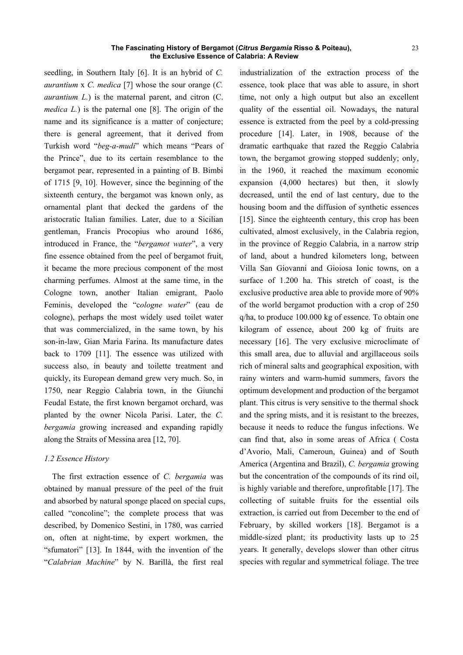seedling, in Southern Italy [6]. It is an hybrid of *C. aurantium* x *C. medica* [7] whose the sour orange (*C. aurantium L.*) is the maternal parent, and citron (C. *medica L*.) is the paternal one [8]. The origin of the name and its significance is a matter of conjecture; there is general agreement, that it derived from Turkish word "*beg-a-mudi*" which means "Pears of the Prince", due to its certain resemblance to the bergamot pear, represented in a painting of B. Bimbi of 1715 [9, 10]. However, since the beginning of the sixteenth century, the bergamot was known only, as ornamental plant that decked the gardens of the aristocratic Italian families. Later, due to a Sicilian gentleman, Francis Procopius who around 1686, introduced in France, the "*bergamot water*", a very fine essence obtained from the peel of bergamot fruit, it became the more precious component of the most charming perfumes. Almost at the same time, in the Cologne town, another Italian emigrant, Paolo Feminis, developed the "c*ologne water*" (eau de cologne), perhaps the most widely used toilet water that was commercialized, in the same town, by his son-in-law, Gian Maria Farina. Its manufacture dates back to 1709 [11]. The essence was utilized with success also, in beauty and toilette treatment and quickly, its European demand grew very much. So, in 1750, near Reggio Calabria town, in the Giunchi Feudal Estate, the first known bergamot orchard, was planted by the owner Nicola Parisi. Later, the *C. bergamia* growing increased and expanding rapidly along the Straits of Messina area [12, 70].

# *1.2 Essence History*

The first extraction essence of *C. bergamia* was obtained by manual pressure of the peel of the fruit and absorbed by natural sponge placed on special cups, called "concoline"; the complete process that was described, by Domenico Sestini, in 1780, was carried on, often at night-time, by expert workmen, the "sfumatori" [13]. In 1844, with the invention of the "*Calabrian Machine*" by N. Barillà, the first real

industrialization of the extraction process of the essence, took place that was able to assure, in short time, not only a high output but also an excellent quality of the essential oil. Nowadays, the natural essence is extracted from the peel by a cold-pressing procedure [14]. Later, in 1908, because of the dramatic earthquake that razed the Reggio Calabria town, the bergamot growing stopped suddenly; only, in the 1960, it reached the maximum economic expansion (4,000 hectares) but then, it slowly decreased, until the end of last century, due to the housing boom and the diffusion of synthetic essences [15]. Since the eighteenth century, this crop has been cultivated, almost exclusively, in the Calabria region, in the province of Reggio Calabria, in a narrow strip of land, about a hundred kilometers long, between Villa San Giovanni and Gioiosa Ionic towns, on a surface of 1.200 ha. This stretch of coast, is the exclusive productive area able to provide more of 90% of the world bergamot production with a crop of 250 q/ha, to produce 100.000 kg of essence. To obtain one kilogram of essence, about 200 kg of fruits are necessary [16]. The very exclusive microclimate of this small area, due to alluvial and argillaceous soils rich of mineral salts and geographical exposition, with rainy winters and warm-humid summers, favors the optimum development and production of the bergamot plant. This citrus is very sensitive to the thermal shock and the spring mists, and it is resistant to the breezes, because it needs to reduce the fungus infections. We can find that, also in some areas of Africa ( Costa d'Avorio, Mali, Cameroun, Guinea) and of South America (Argentina and Brazil), *C. bergamia* growing but the concentration of the compounds of its rind oil, is highly variable and therefore, unprofitable [17]. The collecting of suitable fruits for the essential oils extraction, is carried out from December to the end of February, by skilled workers [18]. Bergamot is a middle-sized plant; its productivity lasts up to 25 years. It generally, develops slower than other citrus species with regular and symmetrical foliage. The tree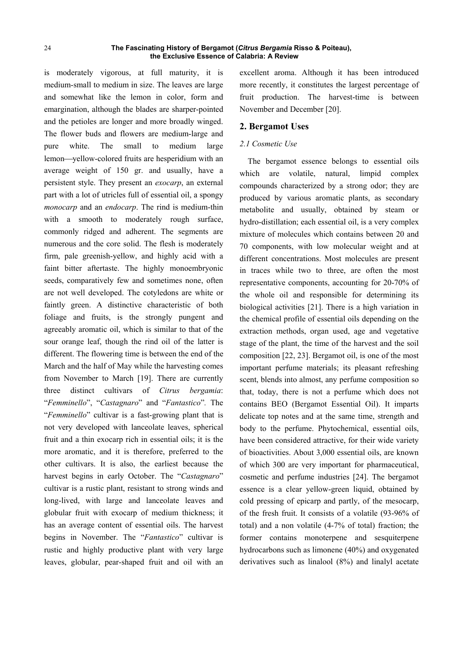is moderately vigorous, at full maturity, it is medium-small to medium in size. The leaves are large and somewhat like the lemon in color, form and emargination, although the blades are sharper-pointed and the petioles are longer and more broadly winged. The flower buds and flowers are medium-large and pure white. The small to medium large lemon—vellow-colored fruits are hesperidium with an average weight of 150 gr. and usually, have a persistent style. They present an *exocarp*, an external part with a lot of utricles full of essential oil, a spongy *monocarp* and an *endocarp*. The rind is medium-thin with a smooth to moderately rough surface, commonly ridged and adherent. The segments are numerous and the core solid. The flesh is moderately firm, pale greenish-yellow, and highly acid with a faint bitter aftertaste. The highly monoembryonic seeds, comparatively few and sometimes none, often are not well developed. The cotyledons are white or faintly green. A distinctive characteristic of both foliage and fruits, is the strongly pungent and agreeably aromatic oil, which is similar to that of the sour orange leaf, though the rind oil of the latter is different. The flowering time is between the end of the March and the half of May while the harvesting comes from November to March [19]. There are currently three distinct cultivars of *Citrus bergamia*: "*Femminello*", "*Castagnaro*" and "*Fantastico*"*.* The "*Femminello*" cultivar is a fast-growing plant that is not very developed with lanceolate leaves, spherical fruit and a thin exocarp rich in essential oils; it is the more aromatic, and it is therefore, preferred to the other cultivars. It is also, the earliest because the harvest begins in early October. The "*Castagnaro*" cultivar is a rustic plant, resistant to strong winds and long-lived, with large and lanceolate leaves and globular fruit with exocarp of medium thickness; it has an average content of essential oils. The harvest begins in November. The "*Fantastico*" cultivar is rustic and highly productive plant with very large leaves, globular, pear-shaped fruit and oil with an excellent aroma. Although it has been introduced more recently, it constitutes the largest percentage of fruit production. The harvest-time is between November and December [20].

# **2. Bergamot Uses**

## *2.1 Cosmetic Use*

The bergamot essence belongs to essential oils which are volatile, natural, limpid complex compounds characterized by a strong odor; they are produced by various aromatic plants, as secondary metabolite and usually, obtained by steam or hydro-distillation; each essential oil, is a very complex mixture of molecules which contains between 20 and 70 components, with low molecular weight and at different concentrations. Most molecules are present in traces while two to three, are often the most representative components, accounting for 20-70% of the whole oil and responsible for determining its biological activities [21]. There is a high variation in the chemical profile of essential oils depending on the extraction methods, organ used, age and vegetative stage of the plant, the time of the harvest and the soil composition [22, 23]. Bergamot oil, is one of the most important perfume materials; its pleasant refreshing scent, blends into almost, any perfume composition so that, today, there is not a perfume which does not contains BEO (Bergamot Essential Oil). It imparts delicate top notes and at the same time, strength and body to the perfume. Phytochemical, essential oils, have been considered attractive, for their wide variety of bioactivities. About 3,000 essential oils, are known of which 300 are very important for pharmaceutical, cosmetic and perfume industries [24]. The bergamot essence is a clear yellow-green liquid, obtained by cold pressing of epicarp and partly, of the mesocarp, of the fresh fruit. It consists of a volatile (93-96% of total) and a non volatile (4-7% of total) fraction; the former contains monoterpene and sesquiterpene hydrocarbons such as limonene (40%) and oxygenated derivatives such as linalool (8%) and linalyl acetate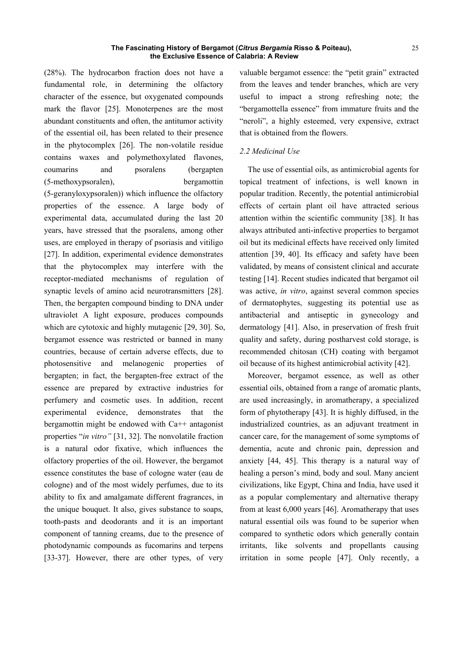(28%). The hydrocarbon fraction does not have a fundamental role, in determining the olfactory character of the essence, but oxygenated compounds mark the flavor [25]. Monoterpenes are the most abundant constituents and often, the antitumor activity of the essential oil, has been related to their presence in the phytocomplex [26]. The non-volatile residue contains waxes and polymethoxylated flavones, coumarins and psoralens (bergapten (5-methoxypsoralen), bergamottin (5-geranyloxypsoralen)) which influence the olfactory properties of the essence. A large body of experimental data, accumulated during the last 20 years, have stressed that the psoralens, among other uses, are employed in therapy of psoriasis and vitiligo [27]. In addition, experimental evidence demonstrates that the phytocomplex may interfere with the receptor-mediated mechanisms of regulation of synaptic levels of amino acid neurotransmitters [28]. Then, the bergapten compound binding to DNA under ultraviolet A light exposure, produces compounds which are cytotoxic and highly mutagenic [29, 30]. So, bergamot essence was restricted or banned in many countries, because of certain adverse effects, due to photosensitive and melanogenic properties of bergapten; in fact, the bergapten-free extract of the essence are prepared by extractive industries for perfumery and cosmetic uses. In addition, recent experimental evidence, demonstrates that the bergamottin might be endowed with Ca++ antagonist properties "*in vitro"* [31, 32]. The nonvolatile fraction is a natural odor fixative, which influences the olfactory properties of the oil. However, the bergamot essence constitutes the base of cologne water (eau de cologne) and of the most widely perfumes, due to its ability to fix and amalgamate different fragrances, in the unique bouquet. It also, gives substance to soaps, tooth-pasts and deodorants and it is an important component of tanning creams, due to the presence of photodynamic compounds as fucomarins and terpens [33-37]. However, there are other types, of very

valuable bergamot essence: the "petit grain" extracted from the leaves and tender branches, which are very useful to impact a strong refreshing note; the "bergamottella essence" from immature fruits and the "neroli", a highly esteemed, very expensive, extract that is obtained from the flowers.

# *2.2 Medicinal Use*

The use of essential oils, as antimicrobial agents for topical treatment of infections, is well known in popular tradition. Recently, the potential antimicrobial effects of certain plant oil have attracted serious attention within the scientific community [38]. It has always attributed anti-infective properties to bergamot oil but its medicinal effects have received only limited attention [39, 40]. Its efficacy and safety have been validated, by means of consistent clinical and accurate testing [14]. Recent studies indicated that bergamot oil was active, *in vitro*, against several common species of dermatophytes, suggesting its potential use as antibacterial and antiseptic in gynecology and dermatology [41]. Also, in preservation of fresh fruit quality and safety, during postharvest cold storage, is recommended chitosan (CH) coating with bergamot oil because of its highest antimicrobial activity [42].

Moreover, bergamot essence, as well as other essential oils, obtained from a range of aromatic plants, are used increasingly, in aromatherapy, a specialized form of phytotherapy [43]. It is highly diffused, in the industrialized countries, as an adjuvant treatment in cancer care, for the management of some symptoms of dementia, acute and chronic pain, depression and anxiety [44, 45]. This therapy is a natural way of healing a person's mind, body and soul. Many ancient civilizations, like Egypt, China and India, have used it as a popular complementary and alternative therapy from at least 6,000 years [46]. Aromatherapy that uses natural essential oils was found to be superior when compared to synthetic odors which generally contain irritants, like solvents and propellants causing irritation in some people [47]. Only recently, a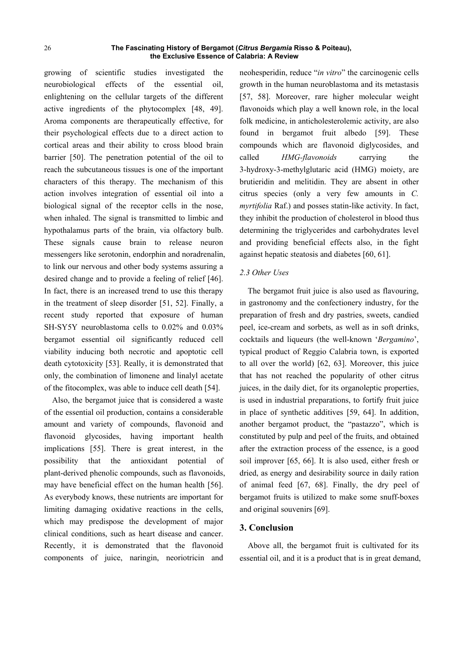growing of scientific studies investigated the neurobiological effects of the essential oil, enlightening on the cellular targets of the different active ingredients of the phytocomplex [48, 49]. Aroma components are therapeutically effective, for their psychological effects due to a direct action to cortical areas and their ability to cross blood brain barrier [50]. The penetration potential of the oil to reach the subcutaneous tissues is one of the important characters of this therapy. The mechanism of this action involves integration of essential oil into a biological signal of the receptor cells in the nose, when inhaled. The signal is transmitted to limbic and hypothalamus parts of the brain, via olfactory bulb. These signals cause brain to release neuron messengers like serotonin, endorphin and noradrenalin, to link our nervous and other body systems assuring a desired change and to provide a feeling of relief [46]. In fact, there is an increased trend to use this therapy in the treatment of sleep disorder [51, 52]. Finally, a recent study reported that exposure of human SH-SY5Y neuroblastoma cells to 0.02% and 0.03% bergamot essential oil significantly reduced cell viability inducing both necrotic and apoptotic cell death cytotoxicity [53]. Really, it is demonstrated that only, the combination of limonene and linalyl acetate of the fitocomplex, was able to induce cell death [54].

Also, the bergamot juice that is considered a waste of the essential oil production, contains a considerable amount and variety of compounds, flavonoid and flavonoid glycosides, having important health implications [55]. There is great interest, in the possibility that the antioxidant potential of plant-derived phenolic compounds, such as flavonoids, may have beneficial effect on the human health [56]. As everybody knows, these nutrients are important for limiting damaging oxidative reactions in the cells, which may predispose the development of major clinical conditions, such as heart disease and cancer. Recently, it is demonstrated that the flavonoid components of juice, naringin, neoriotricin and

neohesperidin, reduce "*in vitro*" the carcinogenic cells growth in the human neuroblastoma and its metastasis [57, 58]. Moreover, rare higher molecular weight flavonoids which play a well known role, in the local folk medicine, in anticholesterolemic activity, are also found in bergamot fruit albedo [59]. These compounds which are flavonoid diglycosides, and called *HMG-flavonoids* carrying the 3-hydroxy-3-methylglutaric acid (HMG) moiety, are brutieridin and melitidin. They are absent in other citrus species (only a very few amounts in *C. myrtifolia* Raf.) and posses statin-like activity. In fact, they inhibit the production of cholesterol in blood thus determining the triglycerides and carbohydrates level and providing beneficial effects also, in the fight against hepatic steatosis and diabetes [60, 61].

## *2.3 Other Uses*

The bergamot fruit juice is also used as flavouring, in gastronomy and the confectionery industry, for the preparation of fresh and dry pastries, sweets, candied peel, ice-cream and sorbets, as well as in soft drinks, cocktails and liqueurs (the well-known '*Bergamino*', typical product of Reggio Calabria town, is exported to all over the world) [62, 63]. Moreover, this juice that has not reached the popularity of other citrus juices, in the daily diet, for its organoleptic properties, is used in industrial preparations, to fortify fruit juice in place of synthetic additives [59, 64]. In addition, another bergamot product, the "pastazzo", which is constituted by pulp and peel of the fruits, and obtained after the extraction process of the essence, is a good soil improver [65, 66]. It is also used, either fresh or dried, as energy and desirability source in daily ration of animal feed [67, 68]. Finally, the dry peel of bergamot fruits is utilized to make some snuff-boxes and original souvenirs [69].

## **3. Conclusion**

Above all, the bergamot fruit is cultivated for its essential oil, and it is a product that is in great demand,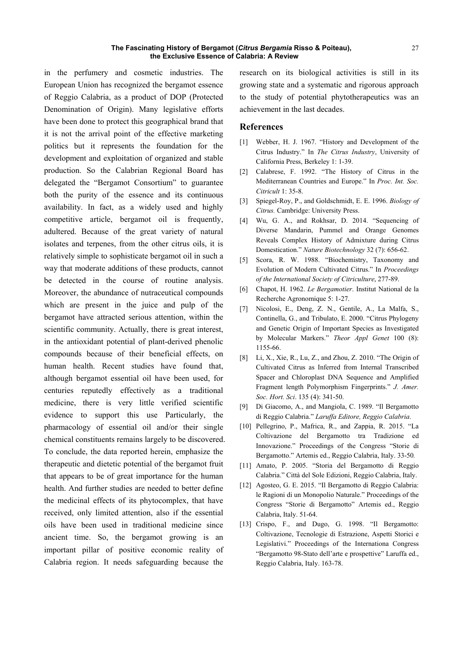in the perfumery and cosmetic industries. The European Union has recognized the bergamot essence of Reggio Calabria, as a product of DOP (Protected Denomination of Origin). Many legislative efforts have been done to protect this geographical brand that it is not the arrival point of the effective marketing politics but it represents the foundation for the development and exploitation of organized and stable production. So the Calabrian Regional Board has delegated the "Bergamot Consortium" to guarantee both the purity of the essence and its continuous availability. In fact, as a widely used and highly competitive article, bergamot oil is frequently, adultered. Because of the great variety of natural isolates and terpenes, from the other citrus oils, it is relatively simple to sophisticate bergamot oil in such a way that moderate additions of these products, cannot be detected in the course of routine analysis. Moreover, the abundance of nutraceutical compounds which are present in the juice and pulp of the bergamot have attracted serious attention, within the scientific community. Actually, there is great interest, in the antioxidant potential of plant-derived phenolic compounds because of their beneficial effects, on human health. Recent studies have found that, although bergamot essential oil have been used, for centuries reputedly effectively as a traditional medicine, there is very little verified scientific evidence to support this use Particularly, the pharmacology of essential oil and/or their single chemical constituents remains largely to be discovered. To conclude, the data reported herein, emphasize the therapeutic and dietetic potential of the bergamot fruit that appears to be of great importance for the human health. And further studies are needed to better define the medicinal effects of its phytocomplex, that have received, only limited attention, also if the essential oils have been used in traditional medicine since ancient time. So, the bergamot growing is an important pillar of positive economic reality of Calabria region. It needs safeguarding because the

research on its biological activities is still in its growing state and a systematic and rigorous approach to the study of potential phytotherapeutics was an achievement in the last decades.

# **References**

- [1] Webber, H. J. 1967. "History and Development of the Citrus Industry." In *The Citrus Industry*, University of California Press, Berkeley 1: 1-39.
- [2] Calabrese, F. 1992. "The History of Citrus in the Mediterranean Countries and Europe." In *Proc. Int. Soc. Citricult* 1: 35-8.
- [3] Spiegel-Roy, P., and Goldschmidt, E. E. 1996. *Biology of Citrus.* Cambridge: University Press.
- [4] Wu, G. A., and Rokhsar, D. 2014. "Sequencing of Diverse Mandarin, Pummel and Orange Genomes Reveals Complex History of Admixture during Citrus Domestication." *Nature Biotechnology* 32 (7): 656-62.
- [5] Scora, R. W. 1988. "Biochemistry, Taxonomy and Evolution of Modern Cultivated Citrus." In *Proceedings of the International Society of Citriculture*, 277-89.
- [6] Chapot, H. 1962. *Le Bergamotier*. Institut National de la Recherche Agronomique 5: 1-27.
- [7] Nicolosi, E., Deng, Z. N., Gentile, A., La Malfa, S., Continella, G., and Tribulato, E. 2000. "Citrus Phylogeny and Genetic Origin of Important Species as Investigated by Molecular Markers." *Theor Appl Genet* 100 (8): 1155-66.
- [8] Li, X., Xie, R., Lu, Z., and Zhou, Z. 2010. "The Origin of Cultivated Citrus as Inferred from Internal Transcribed Spacer and Chloroplast DNA Sequence and Amplified Fragment length Polymorphism Fingerprints." *J. Amer. Soc. Hort. Sci*. 135 (4): 341-50.
- [9] Di Giacomo, A., and Mangiola, C. 1989. "Il Bergamotto di Reggio Calabria." *Laruffa Editore, Reggio Calabria*.
- [10] Pellegrino, P., Mafrica, R., and Zappia, R. 2015. "La Coltivazione del Bergamotto tra Tradizione ed Innovazione." Proceedings of the Congress "Storie di Bergamotto." Artemis ed., Reggio Calabria, Italy. 33-50*.*
- [11] Amato, P. 2005. "Storia del Bergamotto di Reggio Calabria." Città del Sole Edizioni, Reggio Calabria, Italy.
- [12] Agosteo, G. E. 2015. "Il Bergamotto di Reggio Calabria: le Ragioni di un Monopolio Naturale." Proceedings of the Congress "Storie di Bergamotto" Artemis ed., Reggio Calabria, Italy. 51-64.
- [13] Crispo, F., and Dugo, G. 1998. "Il Bergamotto: Coltivazione, Tecnologie di Estrazione, Aspetti Storici e Legislativi." Proceedings of the Internationa Congress "Bergamotto 98-Stato dell'arte e prospettive" Laruffa ed., Reggio Calabria, Italy. 163-78.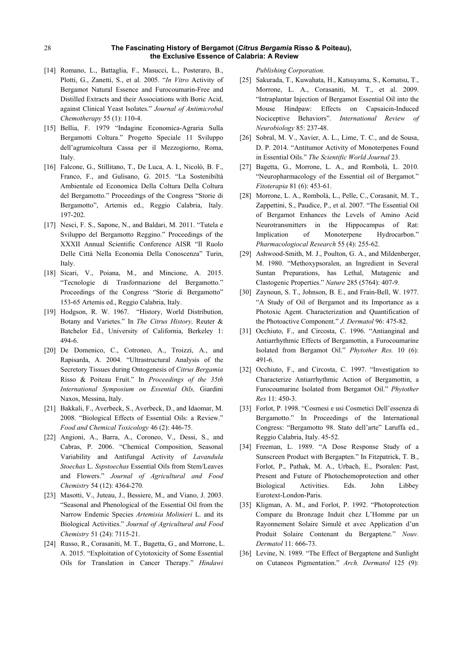- [14] Romano, L., Battaglia, F., Masucci, L., Posteraro, B., Plotti, G., Zanetti, S., et al. 2005. "*In Vitro* Activity of Bergamot Natural Essence and Furocoumarin-Free and Distilled Extracts and their Associations with Boric Acid, against Clinical Yeast Isolates." *Journal of Antimicrobal Chemotherapy* 55 (1): 110-4.
- [15] Bellia, F. 1979 "Indagine Economica-Agraria Sulla Bergamotti Coltura." Progetto Speciale 11 Sviluppo dell'agrumicoltura Cassa per il Mezzogiorno, Roma, Italy.
- [16] Falcone, G., Stillitano, T., De Luca, A. I., Nicolò, B. F., Franco, F., and Gulisano, G. 2015. "La Sostenibiltà Ambientale ed Economica Della Coltura Della Coltura del Bergamotto." Proceedings of the Congress "Storie di Bergamotto", Artemis ed., Reggio Calabria, Italy. 197-202.
- [17] Nesci, F. S., Sapone, N., and Baldari, M. 2011. "Tutela e Sviluppo del Bergamotto Reggino." Proceedings of the XXXII Annual Scientific Conference AISR "Il Ruolo Delle Città Nella Economia Della Conoscenza" Turin, Italy.
- [18] Sicari, V., Poiana, M., and Mincione, A. 2015. "Tecnologie di Trasformazione del Bergamotto." Proceedings of the Congress "Storie di Bergamotto" 153-65 Artemis ed., Reggio Calabria, Italy.
- [19] Hodgson, R. W. 1967. "History, World Distribution, Botany and Varietes." In *The Citrus History,* Reuter & Batchelor Ed., University of California, Berkeley 1: 494-6.
- [20] De Domenico, C., Cotroneo, A., Troizzi, A., and Rapisarda, A. 2004. "Ultrastructural Analysis of the Secretory Tissues during Ontogenesis of *Citrus Bergamia* Risso & Poiteau Fruit." In *Proceedings of the 35th International Symposium on Essential Oils,* Giardini Naxos, Messina, Italy.
- [21] Bakkali, F., Averbeck, S., Averbeck, D., and Idaomar, M. 2008. "Biological Effects of Essential Oils: a Review." *Food and Chemical Toxicology* 46 (2): 446-75.
- [22] Angioni, A., Barra, A., Coroneo, V., Dessi, S., and Cabras, P. 2006. "Chemical Composition, Seasonal Variability and Antifungal Activity of *Lavandula Stoechas* L. *Sspstoechas* Essential Oils from Stem/Leaves and Flowers." *Journal of Agricultural and Food Chemistry* 54 (12): 4364-270*.*
- [23] Masotti, V., Juteau, J., Bessiere, M., and Viano, J. 2003. "Seasonal and Phenological of the Essential Oil from the Narrow Endemic Species *Artemisia Molinieri* L. and its Biological Activities." *Journal of Agricultural and Food Chemistry* 51 (24): 7115-21.
- [24] Russo, R., Corasaniti, M. T., Bagetta, G., and Morrone, L. A. 2015. "Exploitation of Cytotoxicity of Some Essential Oils for Translation in Cancer Therapy." *Hindawi*

*Publishing Corporation.*

- [25] Sakurada, T., Kuwahata, H., Katsuyama, S., Komatsu, T., Morrone, L. A., Corasaniti, M. T., et al. 2009. "Intraplantar Injection of Bergamot Essential Oil into the Mouse Hindpaw: Effects on Capsaicin-Induced Nociceptive Behaviors". *International Review of Neurobiology* 85: 237-48.
- [26] Sobral, M. V., Xavier, A. L., Lime, T. C., and de Sousa, D. P. 2014. "Antitumor Activity of Monoterpenes Found in Essential Oils." *The Scientific World Journal* 23.
- [27] Bagetta, G., Morrone, L. A., and Rombolà, L. 2010. "Neuropharmacology of the Essential oil of Bergamot." *Fitoterapia* 81 (6): 453-61.
- [28] Morrone, L. A., Rombolà, L., Pelle, C., Corasanit, M. T., Zappettini, S., Paudice, P., et al. 2007. "The Essential Oil of Bergamot Enhances the Levels of Amino Acid Neurotransmitters in the Hippocampus of Rat: Implication of Monoterpene Hydrocarbon." *Pharmacologiocal Research* 55 (4): 255-62.
- [29] Ashwood-Smith, M. J., Poulton, G. A., and Mildenberger, M. 1980. "Methoxypsoralen, an Ingredient in Several Suntan Preparations, has Lethal, Mutagenic and Clastogenic Properties." *Nature* 285 (5764): 407-9.
- [30] Zaynoun, S. T., Johnson, B. E., and Frain-Bell, W. 1977. "A Study of Oil of Bergamot and its Importance as a Photoxic Agent. Characterization and Quantification of the Photoactive Component." *J. Dermatol* 96: 475-82.
- [31] Occhiuto, F., and Circosta, C. 1996. "Antianginal and Antiarrhythmic Effects of Bergamottin, a Furocoumarine Isolated from Bergamot Oil." *Phytother Res.* 10 (6): 491-6.
- [32] Occhiuto, F., and Circosta, C. 1997. "Investigation to Characterize Antiarrhythmic Action of Bergamottin, a Furocoumarine Isolated from Bergamot Oil." *Phytother Res* 11: 450-3.
- [33] Forlot, P. 1998. "Cosmesi e usi Cosmetici Dell'essenza di Bergamotto." In Proceedings of the International Congress: "Bergamotto 98. Stato dell'arte" Laruffa ed., Reggio Calabria, Italy. 45-52.
- [34] Freeman, L. 1989. "A Dose Response Study of a Sunscreen Product with Bergapten." In Fitzpatrick, T. B., Forlot, P., Pathak, M. A., Urbach, E., Psoralen: Past, Present and Future of Photochemoprotection and other Biological Activities. Eds. John Libbey Eurotext-London-Paris.
- [35] Kligman, A. M., and Forlot, P. 1992. "Photoprotection Compare du Bronzage Induit chez L'Homme par un Rayonnement Solaire Simulè et avec Application d'un Produit Solaire Contenant du Bergaptene." *Nouv. Dermatol* 11: 666-73.
- [36] Levine, N. 1989. "The Effect of Bergaptene and Sunlight on Cutaneos Pigmentation." *Arch. Dermatol* 125 (9):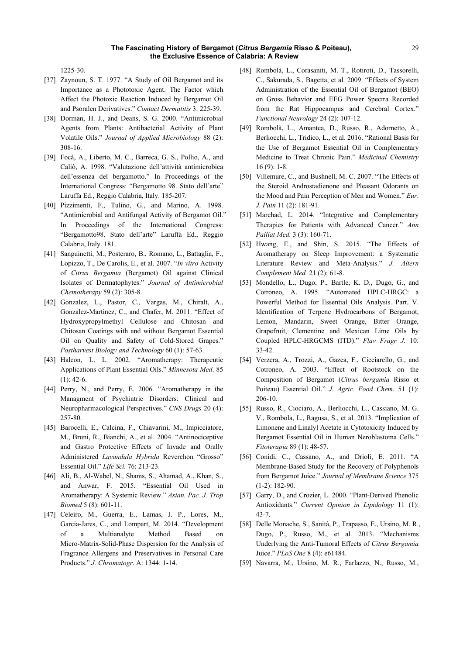1225-30.

- [37] Zaynoun, S. T. 1977. "A Study of Oil Bergamot and its Importance as a Phototoxic Agent. The Factor which Affect the Photoxic Reaction Induced by Bergamot Oil and Psoralen Derivatives." *Contact Dermatitis* 3: 225-39.
- [38] Dorman, H. J., and Deans, S. G. 2000. "Antimicrobial Agents from Plants: Antibacterial Activity of Plant Volatile Oils." *Journal of Applied Microbiology* 88 (2): 308-16.
- [39] Focà, A., Liberto, M. C., Barreca, G. S., Pollio, A., and Caliò, A. 1998. "Valutazione dell'attività antimicrobica dell'essenza del bergamotto." In Proceedings of the International Congress: "Bergamotto 98. Stato dell'arte" Laruffa Ed., Reggio Calabria, Italy. 185-207.
- [40] Pizzimenti, F., Tulino, G., and Marino, A. 1998. "Antimicrobial and Antifungal Activity of Bergamot Oil." In Proceedings of the International Congress: "Bergamotto98. Stato dell'arte" Laruffa Ed., Reggio Calabria, Italy. 181.
- [41] Sanguinetti, M., Posteraro, B., Romano, L., Battaglia, F., Lopizzo, T., De Carolis, E., et al. 2007. "*In vitro* Activity of *Citrus Bergamia* (Bergamot) Oil against Clinical Isolates of Dermatophytes." *Journal of Antimicrobial Chemotherapy* 59 (2): 305-8.
- [42] Gonzalez, L., Pastor, C., Vargas, M., Chiralt, A., Gonzalez-Martinez, C., and Chafer, M. 2011. "Effect of Hydroxypropylmethyl Cellulose and Chitosan and Chitosan Coatings with and without Bergamot Essential Oil on Quality and Safety of Cold-Stored Grapes." *Postharvest Biology and Technology* 60 (1): 57-63.
- [43] Halcon, L. L. 2002. "Aromatherapy: Therapeutic Applications of Plant Essential Oils." *Minnesota Med*. 85  $(1)$ : 42-6.
- [44] Perry, N., and Perry, E. 2006. "Aromatherapy in the Managment of Psychiatric Disorders: Clinical and Neuropharmacological Perspectives." *CNS Drugs* 20 (4): 257-80.
- [45] Barocelli, E., Calcina, F., Chiavarini, M., Impicciatore, M., Bruni, R., Bianchi, A., et al. 2004. "Antinociceptive and Gastro Protective Effects of Invade and Orally Administered *Lavandula Hybrida* Reverchon "Grosso" Essential Oil." *Life Sci.* 76: 213-23.
- [46] Ali, B., Al-Wabel, N., Shams, S., Ahamad, A., Khan, S., and Anwar, F. 2015. "Essential Oil Used in Aromatherapy: A Systemic Review." *Asian. Pac. J. Trop Biomed* 5 (8): 601-11.
- [47] Celeiro, M., Guerra, E., Lamas, J. P., Lores, M., Garcia-Jares, C., and Lompart, M. 2014. "Development of a Multianalyte Method Based on Micro-Matrix-Solid-Phase Dispersion for the Analysis of Fragrance Allergens and Preservatives in Personal Care Products." *J. Chromatogr*. A: 1344: 1-14.
- [48] Rombolà, L., Corasaniti, M. T., Rotiroti, D., Tassorelli, C., Sakurada, S., Bagetta, et al. 2009. "Effects of System Administration of the Essential Oil of Bergamot (BEO) on Gross Behavior and EEG Power Spectra Recorded from the Rat Hippocampus and Cerebral Cortex." *Functional Neurology* 24 (2): 107-12.
- [49] Rombolà, L., Amantea, D., Russo, R., Adornetto, A., Berliocchi, L., Tridico, L., et al. 2016. "Rational Basis for the Use of Bergamot Essential Oil in Complementary Medicine to Treat Chronic Pain." *Medicinal Chemistry* 16 (9): 1-8.
- [50] Villemure, C., and Bushnell, M. C. 2007. "The Effects of the Steroid Androstadienone and Pleasant Odorants on the Mood and Pain Perception of Men and Women." *Eur*. *J. Pain* 11 (2): 181-91.
- [51] Marchad, L. 2014. "Integrative and Complementary Therapies for Patients with Advanced Cancer." *Ann Palliat Med.* 3 (3): 160-71.
- [52] Hwang, E., and Shin, S. 2015. "The Effects of Aromatherapy on Sleep Improvement: a Systematic Literature Review and Meta-Analysis." *J. Altern Complement Med.* 21 (2): 61-8.
- [53] Mondello, L., Dugo, P., Bartle, K. D., Dugo, G., and Cotroneo, A. 1995. "Automated HPLC-HRGC: a Powerful Method for Essential Oils Analysis. Part. V. Identification of Terpene Hydrocarbons of Bergamot, Lemon, Mandarin, Sweet Orange, Bitter Orange, Grapefruit, Clementine and Mexican Lime Oils by Coupled HPLC-HRGCMS (ITD)." *Flav Fragr J.* 10: 33-42.
- [54] Verzera, A., Trozzi, A., Gazea, F., Cicciarello, G., and Cotroneo, A. 2003. "Effect of Rootstock on the Composition of Bergamot (*Citrus bergamia* Risso et Poiteau) Essential Oil." *J. Agric. Food Chem.* 51 (1): 206-10.
- [55] Russo, R., Ciociaro, A., Berliocchi, L., Cassiano, M. G. V., Rombola, L., Ragusa, S., et al. 2013. "Implication of Limonene and Linalyl Acetate in Cytotoxicity Induced by Bergamot Essential Oil in Human Neroblastoma Cells." *Fitoterapia* 89 (1): 48-57.
- [56] Conidi, C., Cassano, A., and Drioli, E. 2011. "A Membrane-Based Study for the Recovery of Polyphenols from Bergamot Juice." *Journal of Membrane Science* 375 (1-2): 182-90.
- [57] Garry, D., and Crozier, L. 2000. "Plant-Derived Phenolic Antioxidants." *Current Opinion in Lipidology* 11 (1): 43-7.
- [58] Delle Monache, S., Sanità, P., Trapasso, E., Ursino, M. R., Dugo, P., Russo, M., et al. 2013. "Mechanisms Underlying the Anti-Tumoral Effects of *Citrus Bergamia* Juice." *PLoS One* 8 (4): e61484.
- [59] Navarra, M., Ursino, M. R., Farlazzo, N., Russo, M.,